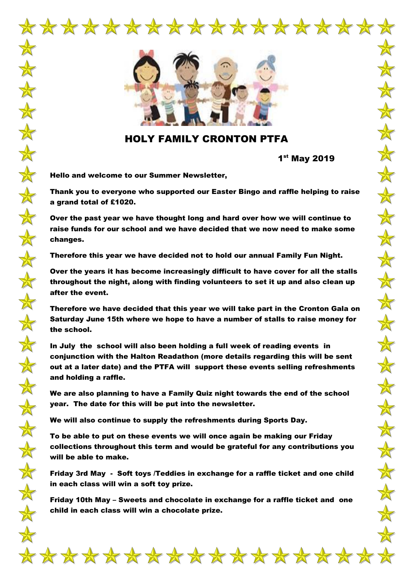

\*\*\*\*\*\*\*\*\*\*\*\*\*\*\*\*\*

## HOLY FAMILY CRONTON PTFA

1 st May 2019

Hello and welcome to our Summer Newsletter,

 $\frac{1}{N}$ 

 $\frac{1}{\sqrt{2}}$ 

 $\frac{1}{\sqrt{2}}$ 

 $\frac{1}{\sqrt{2}}$ 

 $\frac{1}{\sqrt{2}}$ 

 $\frac{\mathbf{A}}{\mathbf{A}}$ 

 $\frac{1}{\sqrt{2}}$ 

 $\frac{1}{\sqrt{2}}$ 

 $\frac{1}{N}$ 

 $\frac{1}{N}$ 

 $\frac{1}{N}$ 

 $\frac{1}{N}$ 

 $\color{red} \bigstar$ 

 $\frac{1}{\sqrt{2}}$ 

 $\frac{1}{N}$ 

 $\frac{1}{N}$ 

 $\frac{1}{N}$ 

 $\frac{1}{N}$ 

 $\frac{1}{N}$ 

 $\frac{1}{N}$ 

 $\frac{1}{N}$ 

 $\frac{\mathbf{A}}{\mathbf{A}}$ 

 $\frac{1}{N}$ 

 $\clubsuit$ 

Thank you to everyone who supported our Easter Bingo and raffle helping to raise a grand total of £1020.

Over the past year we have thought long and hard over how we will continue to raise funds for our school and we have decided that we now need to make some changes.

Therefore this year we have decided not to hold our annual Family Fun Night.

Over the years it has become increasingly difficult to have cover for all the stalls throughout the night, along with finding volunteers to set it up and also clean up after the event.

Therefore we have decided that this year we will take part in the Cronton Gala on Saturday June 15th where we hope to have a number of stalls to raise money for the school.

In July the school will also been holding a full week of reading events in conjunction with the Halton Readathon (more details regarding this will be sent out at a later date) and the PTFA will support these events selling refreshments and holding a raffle.

We are also planning to have a Family Quiz night towards the end of the school year. The date for this will be put into the newsletter.

We will also continue to supply the refreshments during Sports Day.

To be able to put on these events we will once again be making our Friday collections throughout this term and would be grateful for any contributions you will be able to make.

Friday 3rd May - Soft toys /Teddies in exchange for a raffle ticket and one child in each class will win a soft toy prize.

Friday 10th May – Sweets and chocolate in exchange for a raffle ticket and one child in each class will win a chocolate prize.

\*\*\*\*\*\*\*\*\*\*\*\*\*\*\*\*\*\*